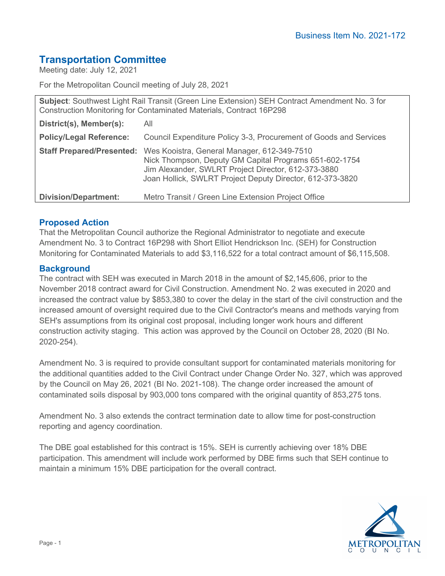# **Transportation Committee**

Meeting date: July 12, 2021

For the Metropolitan Council meeting of July 28, 2021

| Subject: Southwest Light Rail Transit (Green Line Extension) SEH Contract Amendment No. 3 for<br>Construction Monitoring for Contaminated Materials, Contract 16P298 |                                                                                                                                                                                                                           |
|----------------------------------------------------------------------------------------------------------------------------------------------------------------------|---------------------------------------------------------------------------------------------------------------------------------------------------------------------------------------------------------------------------|
| District(s), Member(s):                                                                                                                                              | All                                                                                                                                                                                                                       |
| <b>Policy/Legal Reference:</b>                                                                                                                                       | Council Expenditure Policy 3-3, Procurement of Goods and Services                                                                                                                                                         |
| <b>Staff Prepared/Presented:</b>                                                                                                                                     | Wes Kooistra, General Manager, 612-349-7510<br>Nick Thompson, Deputy GM Capital Programs 651-602-1754<br>Jim Alexander, SWLRT Project Director, 612-373-3880<br>Joan Hollick, SWLRT Project Deputy Director, 612-373-3820 |
| <b>Division/Department:</b>                                                                                                                                          | Metro Transit / Green Line Extension Project Office                                                                                                                                                                       |

## **Proposed Action**

That the Metropolitan Council authorize the Regional Administrator to negotiate and execute Amendment No. 3 to Contract 16P298 with Short Elliot Hendrickson Inc. (SEH) for Construction Monitoring for Contaminated Materials to add \$3,116,522 for a total contract amount of \$6,115,508.

### **Background**

The contract with SEH was executed in March 2018 in the amount of \$2,145,606, prior to the November 2018 contract award for Civil Construction. Amendment No. 2 was executed in 2020 and increased the contract value by \$853,380 to cover the delay in the start of the civil construction and the increased amount of oversight required due to the Civil Contractor's means and methods varying from SEH's assumptions from its original cost proposal, including longer work hours and different construction activity staging. This action was approved by the Council on October 28, 2020 (BI No. 2020-254).

Amendment No. 3 is required to provide consultant support for contaminated materials monitoring for the additional quantities added to the Civil Contract under Change Order No. 327, which was approved by the Council on May 26, 2021 (BI No. 2021-108). The change order increased the amount of contaminated soils disposal by 903,000 tons compared with the original quantity of 853,275 tons.

Amendment No. 3 also extends the contract termination date to allow time for post-construction reporting and agency coordination.

The DBE goal established for this contract is 15%. SEH is currently achieving over 18% DBE participation. This amendment will include work performed by DBE firms such that SEH continue to maintain a minimum 15% DBE participation for the overall contract.